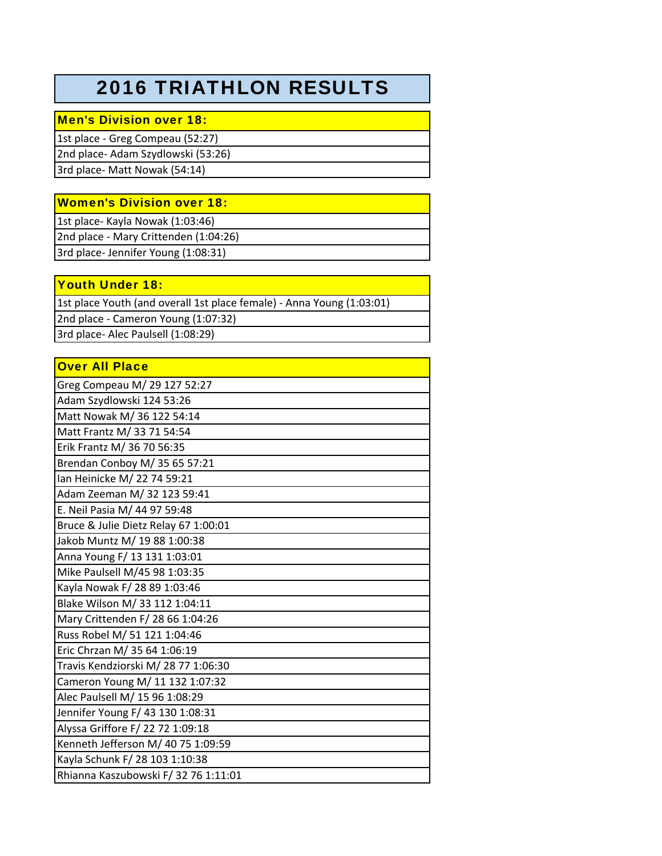## 2016 TRIATHLON RESULTS

## Men's Division over 18:

1st place ‐ Greg Compeau (52:27) 2nd place‐ Adam Szydlowski (53:26) 3rd place‐ Matt Nowak (54:14)

## Women's Division over 18:

1st place‐ Kayla Nowak (1:03:46)

2nd place ‐ Mary Crittenden (1:04:26) 3rd place‐ Jennifer Young (1:08:31)

Youth Under 18:

1st place Youth (and overall 1st place female) ‐ Anna Young (1:03:01) 2nd place ‐ Cameron Young (1:07:32) 3rd place‐ Alec Paulsell (1:08:29)

| <b>Over All Place</b>                |  |
|--------------------------------------|--|
| Greg Compeau M/ 29 127 52:27         |  |
| Adam Szydlowski 124 53:26            |  |
| Matt Nowak M/ 36 122 54:14           |  |
| Matt Frantz M/ 33 71 54:54           |  |
| Erik Frantz M/ 36 70 56:35           |  |
| Brendan Conboy M/ 35 65 57:21        |  |
| Ian Heinicke M/ 22 74 59:21          |  |
| Adam Zeeman M/ 32 123 59:41          |  |
| E. Neil Pasia M/ 44 97 59:48         |  |
| Bruce & Julie Dietz Relay 67 1:00:01 |  |
| Jakob Muntz M/ 19 88 1:00:38         |  |
| Anna Young F/ 13 131 1:03:01         |  |
| Mike Paulsell M/45 98 1:03:35        |  |
| Kayla Nowak F/ 28 89 1:03:46         |  |
| Blake Wilson M/ 33 112 1:04:11       |  |
| Mary Crittenden F/ 28 66 1:04:26     |  |
| Russ Robel M/ 51 121 1:04:46         |  |
| Eric Chrzan M/ 35 64 1:06:19         |  |
| Travis Kendziorski M/28 77 1:06:30   |  |
| Cameron Young M/ 11 132 1:07:32      |  |
| Alec Paulsell M/ 15 96 1:08:29       |  |
| Jennifer Young F/ 43 130 1:08:31     |  |
| Alyssa Griffore F/ 22 72 1:09:18     |  |
| Kenneth Jefferson M/ 40 75 1:09:59   |  |
| Kayla Schunk F/ 28 103 1:10:38       |  |
| Rhianna Kaszubowski F/32 76 1:11:01  |  |